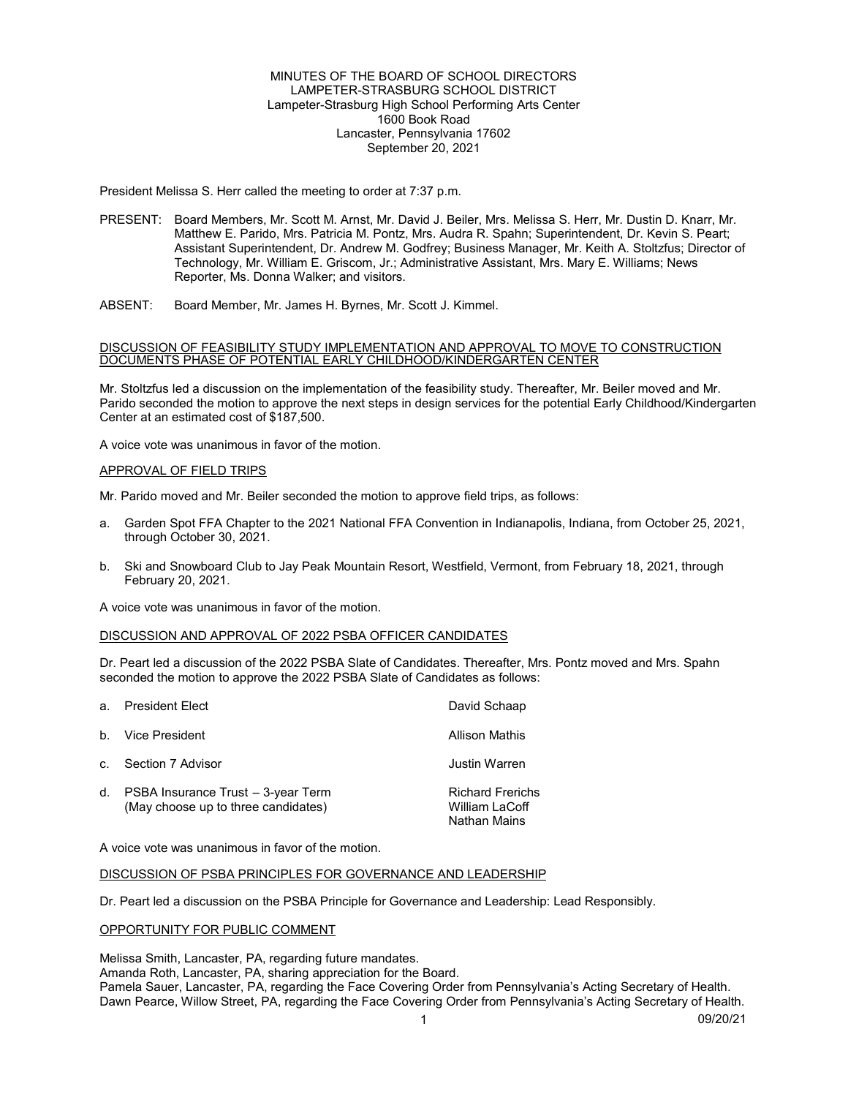## MINUTES OF THE BOARD OF SCHOOL DIRECTORS LAMPETER-STRASBURG SCHOOL DISTRICT Lampeter-Strasburg High School Performing Arts Center 1600 Book Road Lancaster, Pennsylvania 17602 September 20, 2021

President Melissa S. Herr called the meeting to order at 7:37 p.m.

- PRESENT: Board Members, Mr. Scott M. Arnst, Mr. David J. Beiler, Mrs. Melissa S. Herr, Mr. Dustin D. Knarr, Mr. Matthew E. Parido, Mrs. Patricia M. Pontz, Mrs. Audra R. Spahn; Superintendent, Dr. Kevin S. Peart; Assistant Superintendent, Dr. Andrew M. Godfrey; Business Manager, Mr. Keith A. Stoltzfus; Director of Technology, Mr. William E. Griscom, Jr.; Administrative Assistant, Mrs. Mary E. Williams; News Reporter, Ms. Donna Walker; and visitors.
- ABSENT: Board Member, Mr. James H. Byrnes, Mr. Scott J. Kimmel.

#### DISCUSSION OF FEASIBILITY STUDY IMPLEMENTATION AND APPROVAL TO MOVE TO CONSTRUCTION DOCUMENTS PHASE OF POTENTIAL EARLY CHILDHOOD/KINDERGARTEN CENTER

Mr. Stoltzfus led a discussion on the implementation of the feasibility study. Thereafter, Mr. Beiler moved and Mr. Parido seconded the motion to approve the next steps in design services for the potential Early Childhood/Kindergarten Center at an estimated cost of \$187,500.

A voice vote was unanimous in favor of the motion.

## APPROVAL OF FIELD TRIPS

Mr. Parido moved and Mr. Beiler seconded the motion to approve field trips, as follows:

- a. Garden Spot FFA Chapter to the 2021 National FFA Convention in Indianapolis, Indiana, from October 25, 2021, through October 30, 2021.
- b. Ski and Snowboard Club to Jay Peak Mountain Resort, Westfield, Vermont, from February 18, 2021, through February 20, 2021.

A voice vote was unanimous in favor of the motion.

#### DISCUSSION AND APPROVAL OF 2022 PSBA OFFICER CANDIDATES

Dr. Peart led a discussion of the 2022 PSBA Slate of Candidates. Thereafter, Mrs. Pontz moved and Mrs. Spahn seconded the motion to approve the 2022 PSBA Slate of Candidates as follows:

| a <sub>1</sub> | <b>President Elect</b>                                                    | David Schaap                                              |
|----------------|---------------------------------------------------------------------------|-----------------------------------------------------------|
|                | b. Vice President                                                         | <b>Allison Mathis</b>                                     |
| $C_{\rm L}$    | Section 7 Advisor                                                         | Justin Warren                                             |
| d.             | PSBA Insurance Trust - 3-year Term<br>(May choose up to three candidates) | <b>Richard Frerichs</b><br>William LaCoff<br>Nathan Mains |

A voice vote was unanimous in favor of the motion.

#### DISCUSSION OF PSBA PRINCIPLES FOR GOVERNANCE AND LEADERSHIP

Dr. Peart led a discussion on the PSBA Principle for Governance and Leadership: Lead Responsibly.

#### OPPORTUNITY FOR PUBLIC COMMENT

Melissa Smith, Lancaster, PA, regarding future mandates. Amanda Roth, Lancaster, PA, sharing appreciation for the Board. Pamela Sauer, Lancaster, PA, regarding the Face Covering Order from Pennsylvania's Acting Secretary of Health. Dawn Pearce, Willow Street, PA, regarding the Face Covering Order from Pennsylvania's Acting Secretary of Health.